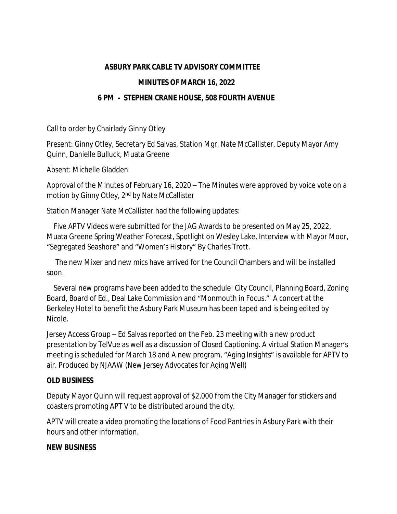### **ASBURY PARK CABLE TV ADVISORY COMMITTEE**

### **MINUTES OF MARCH 16, 2022**

## **6 PM - STEPHEN CRANE HOUSE, 508 FOURTH AVENUE**

Call to order by Chairlady Ginny Otley

Present: Ginny Otley, Secretary Ed Salvas, Station Mgr. Nate McCallister, Deputy Mayor Amy Quinn, Danielle Bulluck, Muata Greene

Absent: Michelle Gladden

Approval of the Minutes of February 16, 2020 – The Minutes were approved by voice vote on a motion by Ginny Otley, 2nd by Nate McCallister

Station Manager Nate McCallister had the following updates:

 Five APTV Videos were submitted for the JAG Awards to be presented on May 25, 2022, Muata Greene Spring Weather Forecast, Spotlight on Wesley Lake, Interview with Mayor Moor, "Segregated Seashore" and "Women's History" By Charles Trott.

 The new Mixer and new mics have arrived for the Council Chambers and will be installed soon.

 Several new programs have been added to the schedule: City Council, Planning Board, Zoning Board, Board of Ed., Deal Lake Commission and "Monmouth in Focus." A concert at the Berkeley Hotel to benefit the Asbury Park Museum has been taped and is being edited by Nicole.

Jersey Access Group – Ed Salvas reported on the Feb. 23 meeting with a new product presentation by TelVue as well as a discussion of Closed Captioning. A virtual Station Manager's meeting is scheduled for March 18 and A new program, "Aging Insights" is available for APTV to air. Produced by NJAAW (New Jersey Advocates for Aging Well)

### **OLD BUSINESS**

Deputy Mayor Quinn will request approval of \$2,000 from the City Manager for stickers and coasters promoting APT V to be distributed around the city.

APTV will create a video promoting the locations of Food Pantries in Asbury Park with their hours and other information.

### **NEW BUSINESS**